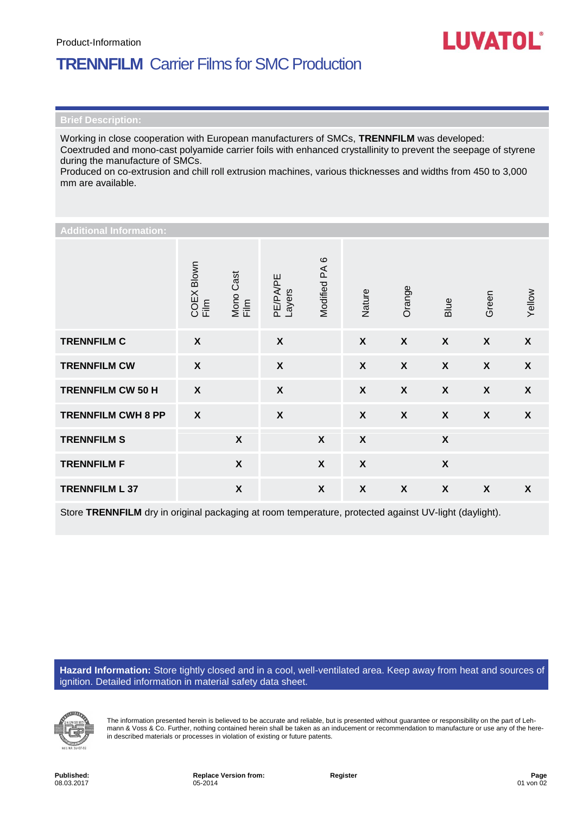## **TRENNFILM** Carrier Films for SMC Production

Working in close cooperation with European manufacturers of SMCs, **TRENNFILM** was developed: Coextruded and mono-cast polyamide carrier foils with enhanced crystallinity to prevent the seepage of styrene during the manufacture of SMCs.

Produced on co-extrusion and chill roll extrusion machines, various thicknesses and widths from 450 to 3,000 mm are available.

| <b>Additional Information:</b> |                           |                           |                           |                           |                           |                  |                           |                           |                  |  |
|--------------------------------|---------------------------|---------------------------|---------------------------|---------------------------|---------------------------|------------------|---------------------------|---------------------------|------------------|--|
|                                | COEX Blown<br>Film        | Mono Cast<br>Film         | <b>PE/PA/PE</b><br>Layers | Modified PA6              | Nature                    | Orange           | Blue                      | Green                     | Yellow           |  |
| <b>TRENNFILM C</b>             | $\boldsymbol{\mathsf{X}}$ |                           | $\boldsymbol{\mathsf{X}}$ |                           | $\boldsymbol{X}$          | $\boldsymbol{X}$ | $\boldsymbol{X}$          | $\boldsymbol{X}$          | $\boldsymbol{X}$ |  |
| <b>TRENNFILM CW</b>            | $\boldsymbol{\mathsf{X}}$ |                           | $\pmb{\mathsf{X}}$        |                           | $\boldsymbol{\mathsf{X}}$ | $\boldsymbol{X}$ | $\boldsymbol{X}$          | $\boldsymbol{X}$          | $\boldsymbol{X}$ |  |
| <b>TRENNFILM CW 50 H</b>       | $\boldsymbol{\mathsf{X}}$ |                           | $\pmb{\chi}$              |                           | $\boldsymbol{X}$          | $\boldsymbol{X}$ | $\boldsymbol{X}$          | $\boldsymbol{X}$          | $\boldsymbol{X}$ |  |
| <b>TRENNFILM CWH 8 PP</b>      | $\boldsymbol{\mathsf{X}}$ |                           | $\boldsymbol{\mathsf{X}}$ |                           | $\boldsymbol{\mathsf{X}}$ | $\boldsymbol{X}$ | $\boldsymbol{X}$          | $\boldsymbol{X}$          | $\boldsymbol{X}$ |  |
| <b>TRENNFILM S</b>             |                           | $\boldsymbol{\mathsf{X}}$ |                           | $\boldsymbol{\mathsf{X}}$ | $\boldsymbol{\mathsf{X}}$ |                  | $\boldsymbol{\mathsf{X}}$ |                           |                  |  |
| <b>TRENNFILM F</b>             |                           | $\boldsymbol{\mathsf{X}}$ |                           | $\boldsymbol{\mathsf{X}}$ | $\boldsymbol{X}$          |                  | $\boldsymbol{\mathsf{X}}$ |                           |                  |  |
| <b>TRENNFILM L 37</b>          |                           | $\boldsymbol{\mathsf{X}}$ |                           | $\boldsymbol{\mathsf{X}}$ | $\boldsymbol{\mathsf{X}}$ | $\boldsymbol{X}$ | $\boldsymbol{\mathsf{X}}$ | $\boldsymbol{\mathsf{X}}$ | X                |  |

Store **TRENNFILM** dry in original packaging at room temperature, protected against UV-light (daylight).

**Hazard Information:** Store tightly closed and in a cool, well-ventilated area. Keep away from heat and sources of ignition. Detailed information in material safety data sheet.



The information presented herein is believed to be accurate and reliable, but is presented without guarantee or responsibility on the part of Lehmann & Voss & Co. Further, nothing contained herein shall be taken as an inducement or recommendation to manufacture or use any of the herein described materials or processes in violation of existing or future patents.

**LUVATOL®**